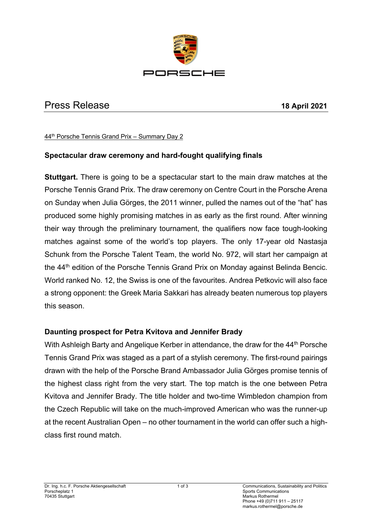

# Press Release **18 April 2021**

#### 44th Porsche Tennis Grand Prix – Summary Day 2

## **Spectacular draw ceremony and hard-fought qualifying finals**

**Stuttgart.** There is going to be a spectacular start to the main draw matches at the Porsche Tennis Grand Prix. The draw ceremony on Centre Court in the Porsche Arena on Sunday when Julia Görges, the 2011 winner, pulled the names out of the "hat" has produced some highly promising matches in as early as the first round. After winning their way through the preliminary tournament, the qualifiers now face tough-looking matches against some of the world's top players. The only 17-year old Nastasja Schunk from the Porsche Talent Team, the world No. 972, will start her campaign at the 44<sup>th</sup> edition of the Porsche Tennis Grand Prix on Monday against Belinda Bencic. World ranked No. 12, the Swiss is one of the favourites. Andrea Petkovic will also face a strong opponent: the Greek Maria Sakkari has already beaten numerous top players this season.

### **Daunting prospect for Petra Kvitova and Jennifer Brady**

With Ashleigh Barty and Angelique Kerber in attendance, the draw for the 44<sup>th</sup> Porsche Tennis Grand Prix was staged as a part of a stylish ceremony. The first-round pairings drawn with the help of the Porsche Brand Ambassador Julia Görges promise tennis of the highest class right from the very start. The top match is the one between Petra Kvitova and Jennifer Brady. The title holder and two-time Wimbledon champion from the Czech Republic will take on the much-improved American who was the runner-up at the recent Australian Open – no other tournament in the world can offer such a highclass first round match.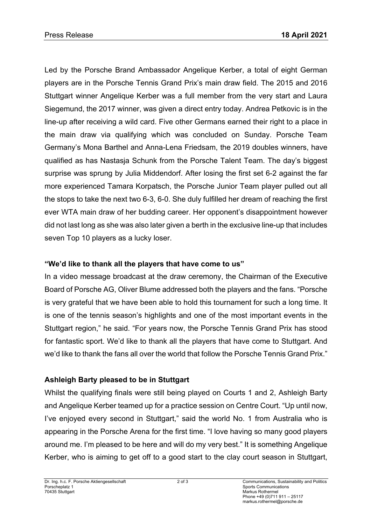Led by the Porsche Brand Ambassador Angelique Kerber, a total of eight German players are in the Porsche Tennis Grand Prix's main draw field. The 2015 and 2016 Stuttgart winner Angelique Kerber was a full member from the very start and Laura Siegemund, the 2017 winner, was given a direct entry today. Andrea Petkovic is in the line-up after receiving a wild card. Five other Germans earned their right to a place in the main draw via qualifying which was concluded on Sunday. Porsche Team Germany's Mona Barthel and Anna-Lena Friedsam, the 2019 doubles winners, have qualified as has Nastasja Schunk from the Porsche Talent Team. The day's biggest surprise was sprung by Julia Middendorf. After losing the first set 6-2 against the far more experienced Tamara Korpatsch, the Porsche Junior Team player pulled out all the stops to take the next two 6-3, 6-0. She duly fulfilled her dream of reaching the first ever WTA main draw of her budding career. Her opponent's disappointment however did not last long as she was also later given a berth in the exclusive line-up that includes seven Top 10 players as a lucky loser.

# **"We'd like to thank all the players that have come to us"**

In a video message broadcast at the draw ceremony, the Chairman of the Executive Board of Porsche AG, Oliver Blume addressed both the players and the fans. "Porsche is very grateful that we have been able to hold this tournament for such a long time. It is one of the tennis season's highlights and one of the most important events in the Stuttgart region," he said. "For years now, the Porsche Tennis Grand Prix has stood for fantastic sport. We'd like to thank all the players that have come to Stuttgart. And we'd like to thank the fans all over the world that follow the Porsche Tennis Grand Prix."

# **Ashleigh Barty pleased to be in Stuttgart**

Whilst the qualifying finals were still being played on Courts 1 and 2, Ashleigh Barty and Angelique Kerber teamed up for a practice session on Centre Court. "Up until now, I've enjoyed every second in Stuttgart," said the world No. 1 from Australia who is appearing in the Porsche Arena for the first time. "I love having so many good players around me. I'm pleased to be here and will do my very best." It is something Angelique Kerber, who is aiming to get off to a good start to the clay court season in Stuttgart,